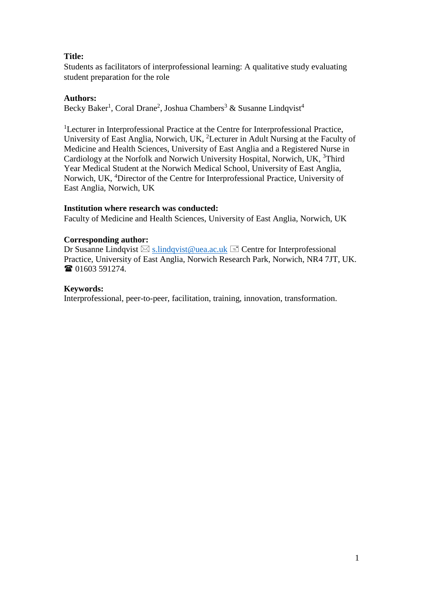# **Title:**

Students as facilitators of interprofessional learning: A qualitative study evaluating student preparation for the role

# **Authors:**

Becky Baker<sup>1</sup>, Coral Drane<sup>2</sup>, Joshua Chambers<sup>3</sup> & Susanne Lindqvist<sup>4</sup>

<sup>1</sup>Lecturer in Interprofessional Practice at the Centre for Interprofessional Practice, University of East Anglia, Norwich, UK, <sup>2</sup>Lecturer in Adult Nursing at the Faculty of Medicine and Health Sciences, University of East Anglia and a Registered Nurse in Cardiology at the Norfolk and Norwich University Hospital, Norwich, UK, <sup>3</sup>Third Year Medical Student at the Norwich Medical School, University of East Anglia, Norwich, UK, <sup>4</sup>Director of the Centre for Interprofessional Practice, University of East Anglia, Norwich, UK

## **Institution where research was conducted:**

Faculty of Medicine and Health Sciences, University of East Anglia, Norwich, UK

## **Corresponding author:**

Dr Susanne Lindqvist  $\boxtimes$  s.lindqvist@uea.ac.uk  $\equiv$  Centre for Interprofessional Practice, University of East Anglia, Norwich Research Park, Norwich, NR4 7JT, UK. **■ 01603 591274.** 

## **Keywords:**

Interprofessional, peer-to-peer, facilitation, training, innovation, transformation.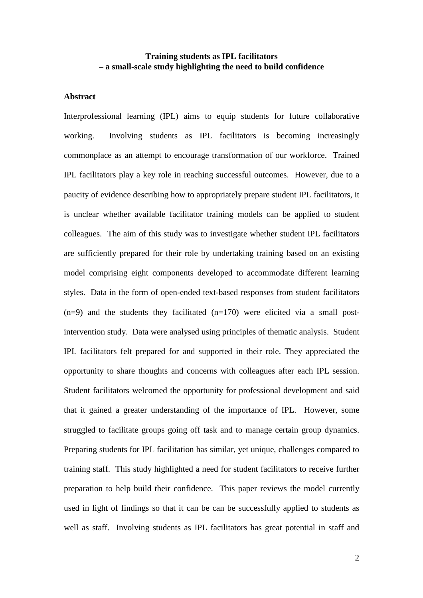# **Training students as IPL facilitators – a small-scale study highlighting the need to build confidence**

### **Abstract**

Interprofessional learning (IPL) aims to equip students for future collaborative working. Involving students as IPL facilitators is becoming increasingly commonplace as an attempt to encourage transformation of our workforce. Trained IPL facilitators play a key role in reaching successful outcomes. However, due to a paucity of evidence describing how to appropriately prepare student IPL facilitators, it is unclear whether available facilitator training models can be applied to student colleagues. The aim of this study was to investigate whether student IPL facilitators are sufficiently prepared for their role by undertaking training based on an existing model comprising eight components developed to accommodate different learning styles. Data in the form of open-ended text-based responses from student facilitators  $(n=9)$  and the students they facilitated  $(n=170)$  were elicited via a small postintervention study. Data were analysed using principles of thematic analysis. Student IPL facilitators felt prepared for and supported in their role. They appreciated the opportunity to share thoughts and concerns with colleagues after each IPL session. Student facilitators welcomed the opportunity for professional development and said that it gained a greater understanding of the importance of IPL. However, some struggled to facilitate groups going off task and to manage certain group dynamics. Preparing students for IPL facilitation has similar, yet unique, challenges compared to training staff. This study highlighted a need for student facilitators to receive further preparation to help build their confidence. This paper reviews the model currently used in light of findings so that it can be can be successfully applied to students as well as staff. Involving students as IPL facilitators has great potential in staff and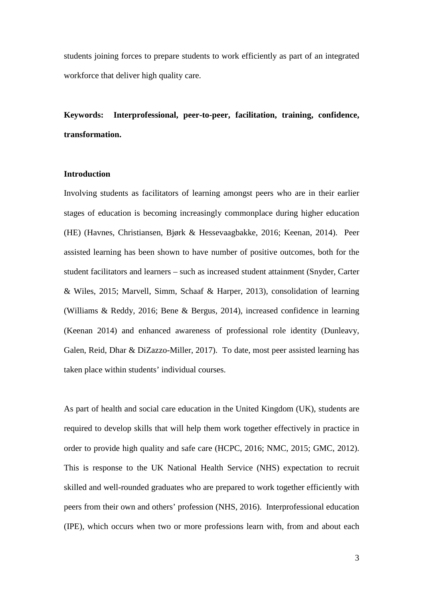students joining forces to prepare students to work efficiently as part of an integrated workforce that deliver high quality care.

**Keywords: Interprofessional, peer-to-peer, facilitation, training, confidence, transformation.**

### **Introduction**

Involving students as facilitators of learning amongst peers who are in their earlier stages of education is becoming increasingly commonplace during higher education (HE) (Havnes, Christiansen, Bjørk & Hessevaagbakke, 2016; Keenan, 2014). Peer assisted learning has been shown to have number of positive outcomes, both for the student facilitators and learners – such as increased student attainment (Snyder, Carter & Wiles, 2015; Marvell, Simm, Schaaf & Harper, 2013), consolidation of learning (Williams & Reddy, 2016; Bene & Bergus, 2014), increased confidence in learning (Keenan 2014) and enhanced awareness of professional role identity (Dunleavy, Galen, Reid, Dhar & DiZazzo-Miller, 2017). To date, most peer assisted learning has taken place within students' individual courses.

As part of health and social care education in the United Kingdom (UK), students are required to develop skills that will help them work together effectively in practice in order to provide high quality and safe care (HCPC, 2016; NMC, 2015; GMC, 2012). This is response to the UK National Health Service (NHS) expectation to recruit skilled and well-rounded graduates who are prepared to work together efficiently with peers from their own and others' profession (NHS, 2016). Interprofessional education (IPE), which occurs when two or more professions learn with, from and about each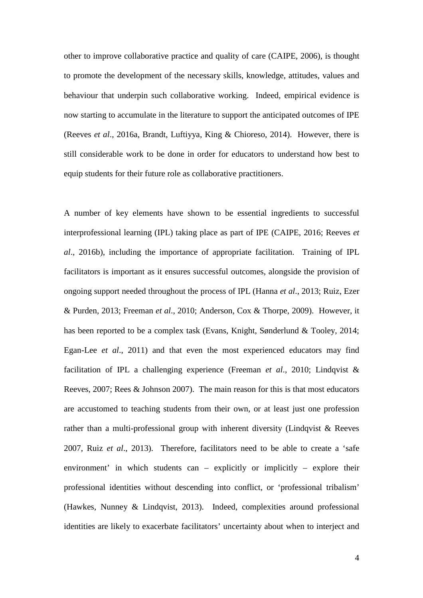other to improve collaborative practice and quality of care (CAIPE, 2006), is thought to promote the development of the necessary skills, knowledge, attitudes, values and behaviour that underpin such collaborative working. Indeed, empirical evidence is now starting to accumulate in the literature to support the anticipated outcomes of IPE (Reeves *et al*., 2016a, Brandt, Luftiyya, King & Chioreso, 2014). However, there is still considerable work to be done in order for educators to understand how best to equip students for their future role as collaborative practitioners.

A number of key elements have shown to be essential ingredients to successful interprofessional learning (IPL) taking place as part of IPE (CAIPE, 2016; Reeves *et al*., 2016b), including the importance of appropriate facilitation. Training of IPL facilitators is important as it ensures successful outcomes, alongside the provision of ongoing support needed throughout the process of IPL (Hanna *et al*., 2013; Ruiz, Ezer & Purden, 2013; Freeman *et al*., 2010; Anderson, Cox & Thorpe, 2009). However, it has been reported to be a complex task (Evans, Knight, Sønderlund & Tooley, 2014; Egan-Lee *et al*., 2011) and that even the most experienced educators may find facilitation of IPL a challenging experience (Freeman *et al*., 2010; Lindqvist & Reeves, 2007; Rees & Johnson 2007). The main reason for this is that most educators are accustomed to teaching students from their own, or at least just one profession rather than a multi-professional group with inherent diversity (Lindqvist & Reeves 2007, Ruiz *et al*., 2013). Therefore, facilitators need to be able to create a 'safe environment' in which students can – explicitly or implicitly – explore their professional identities without descending into conflict, or 'professional tribalism' (Hawkes, Nunney & Lindqvist, 2013). Indeed, complexities around professional identities are likely to exacerbate facilitators' uncertainty about when to interject and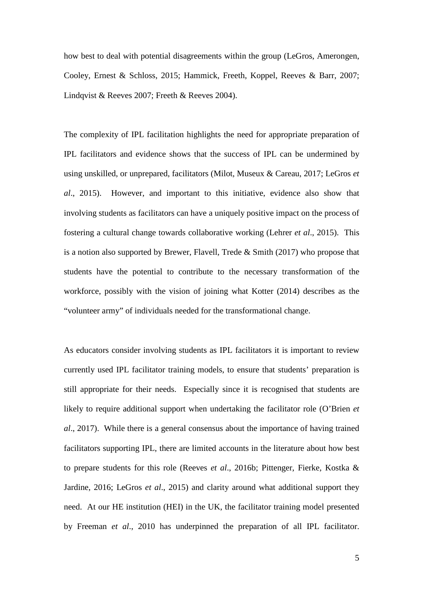how best to deal with potential disagreements within the group (LeGros, Amerongen, Cooley, Ernest & Schloss, 2015; Hammick, Freeth, Koppel, Reeves & Barr, 2007; Lindqvist & Reeves 2007; Freeth & Reeves 2004).

The complexity of IPL facilitation highlights the need for appropriate preparation of IPL facilitators and evidence shows that the success of IPL can be undermined by using unskilled, or unprepared, facilitators (Milot, Museux & Careau, 2017; LeGros *et al*., 2015). However, and important to this initiative, evidence also show that involving students as facilitators can have a uniquely positive impact on the process of fostering a cultural change towards collaborative working (Lehrer *et al*., 2015). This is a notion also supported by Brewer, Flavell, Trede & Smith (2017) who propose that students have the potential to contribute to the necessary transformation of the workforce, possibly with the vision of joining what Kotter (2014) describes as the "volunteer army" of individuals needed for the transformational change.

As educators consider involving students as IPL facilitators it is important to review currently used IPL facilitator training models, to ensure that students' preparation is still appropriate for their needs. Especially since it is recognised that students are likely to require additional support when undertaking the facilitator role (O'Brien *et al*., 2017). While there is a general consensus about the importance of having trained facilitators supporting IPL, there are limited accounts in the literature about how best to prepare students for this role (Reeves *et al*., 2016b; Pittenger, Fierke, Kostka & Jardine, 2016; LeGros *et al*., 2015) and clarity around what additional support they need. At our HE institution (HEI) in the UK, the facilitator training model presented by Freeman *et al*., 2010 has underpinned the preparation of all IPL facilitator.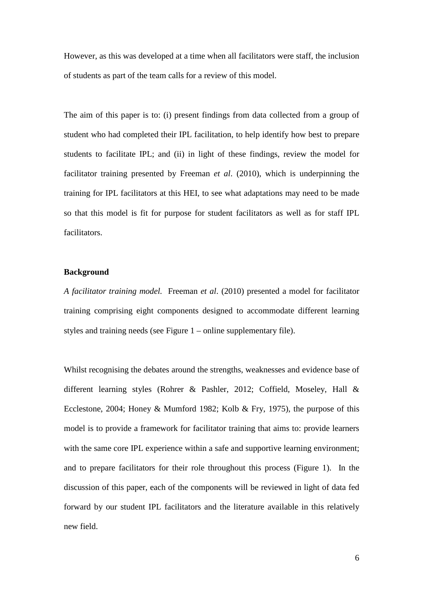However, as this was developed at a time when all facilitators were staff, the inclusion of students as part of the team calls for a review of this model.

The aim of this paper is to: (i) present findings from data collected from a group of student who had completed their IPL facilitation, to help identify how best to prepare students to facilitate IPL; and (ii) in light of these findings, review the model for facilitator training presented by Freeman *et al*. (2010), which is underpinning the training for IPL facilitators at this HEI, to see what adaptations may need to be made so that this model is fit for purpose for student facilitators as well as for staff IPL facilitators.

### **Background**

*A facilitator training model.* Freeman *et al*. (2010) presented a model for facilitator training comprising eight components designed to accommodate different learning styles and training needs (see Figure 1 – online supplementary file).

Whilst recognising the debates around the strengths, weaknesses and evidence base of different learning styles (Rohrer & Pashler, 2012; Coffield, Moseley, Hall & Ecclestone, 2004; Honey & Mumford 1982; Kolb & Fry, 1975), the purpose of this model is to provide a framework for facilitator training that aims to: provide learners with the same core IPL experience within a safe and supportive learning environment; and to prepare facilitators for their role throughout this process (Figure 1). In the discussion of this paper, each of the components will be reviewed in light of data fed forward by our student IPL facilitators and the literature available in this relatively new field.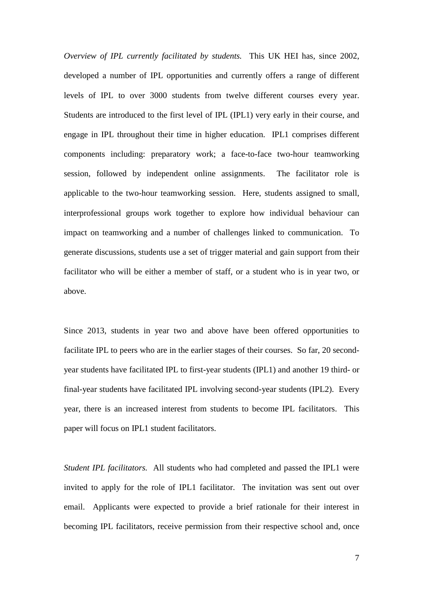*Overview of IPL currently facilitated by students.* This UK HEI has, since 2002, developed a number of IPL opportunities and currently offers a range of different levels of IPL to over 3000 students from twelve different courses every year. Students are introduced to the first level of IPL (IPL1) very early in their course, and engage in IPL throughout their time in higher education. IPL1 comprises different components including: preparatory work; a face-to-face two-hour teamworking session, followed by independent online assignments. The facilitator role is applicable to the two-hour teamworking session. Here, students assigned to small, interprofessional groups work together to explore how individual behaviour can impact on teamworking and a number of challenges linked to communication. To generate discussions, students use a set of trigger material and gain support from their facilitator who will be either a member of staff, or a student who is in year two, or above.

Since 2013, students in year two and above have been offered opportunities to facilitate IPL to peers who are in the earlier stages of their courses. So far, 20 secondyear students have facilitated IPL to first-year students (IPL1) and another 19 third- or final-year students have facilitated IPL involving second-year students (IPL2). Every year, there is an increased interest from students to become IPL facilitators. This paper will focus on IPL1 student facilitators.

*Student IPL facilitators.* All students who had completed and passed the IPL1 were invited to apply for the role of IPL1 facilitator. The invitation was sent out over email. Applicants were expected to provide a brief rationale for their interest in becoming IPL facilitators, receive permission from their respective school and, once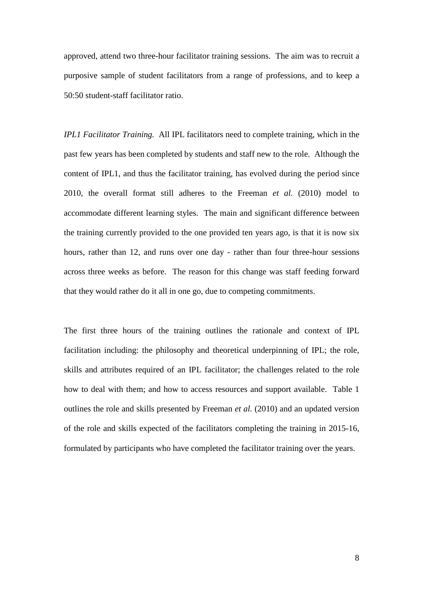approved, attend two three-hour facilitator training sessions. The aim was to recruit a purposive sample of student facilitators from a range of professions, and to keep a 50:50 student-staff facilitator ratio.

*IPL1 Facilitator Training.* All IPL facilitators need to complete training, which in the past few years has been completed by students and staff new to the role. Although the content of IPL1, and thus the facilitator training, has evolved during the period since 2010, the overall format still adheres to the Freeman *et al.* (2010) model to accommodate different learning styles. The main and significant difference between the training currently provided to the one provided ten years ago, is that it is now six hours, rather than 12, and runs over one day - rather than four three-hour sessions across three weeks as before. The reason for this change was staff feeding forward that they would rather do it all in one go, due to competing commitments.

The first three hours of the training outlines the rationale and context of IPL facilitation including: the philosophy and theoretical underpinning of IPL; the role, skills and attributes required of an IPL facilitator; the challenges related to the role how to deal with them; and how to access resources and support available. Table 1 outlines the role and skills presented by Freeman *et al.* (2010) and an updated version of the role and skills expected of the facilitators completing the training in 2015-16, formulated by participants who have completed the facilitator training over the years.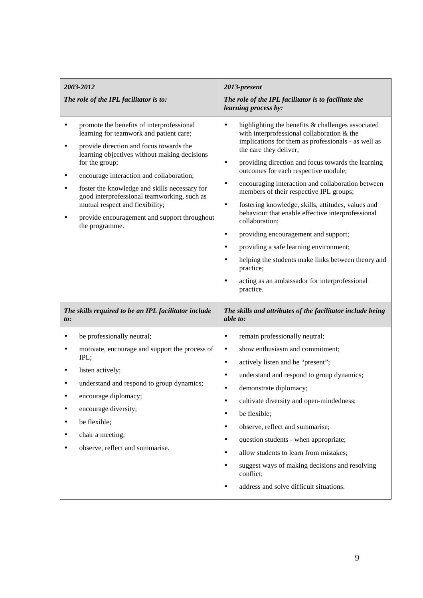| 2003-2012                                                                                                                                                                                                                                                                                                                                                                                                                                                    | 2013-present                                                                                                                                                                                                                                                                                                                                                                                                                                                                                                                                                                                                                                                                                                                                                                                                                           |
|--------------------------------------------------------------------------------------------------------------------------------------------------------------------------------------------------------------------------------------------------------------------------------------------------------------------------------------------------------------------------------------------------------------------------------------------------------------|----------------------------------------------------------------------------------------------------------------------------------------------------------------------------------------------------------------------------------------------------------------------------------------------------------------------------------------------------------------------------------------------------------------------------------------------------------------------------------------------------------------------------------------------------------------------------------------------------------------------------------------------------------------------------------------------------------------------------------------------------------------------------------------------------------------------------------------|
| The role of the IPL facilitator is to:                                                                                                                                                                                                                                                                                                                                                                                                                       | The role of the IPL facilitator is to facilitate the<br>learning process by:                                                                                                                                                                                                                                                                                                                                                                                                                                                                                                                                                                                                                                                                                                                                                           |
| promote the benefits of interprofessional<br>٠<br>learning for teamwork and patient care;<br>provide direction and focus towards the<br>٠<br>learning objectives without making decisions<br>for the group;<br>encourage interaction and collaboration;<br>foster the knowledge and skills necessary for<br>good interprofessional teamworking, such as<br>mutual respect and flexibility;<br>provide encouragement and support throughout<br>the programme. | highlighting the benefits & challenges associated<br>$\bullet$<br>with interprofessional collaboration & the<br>implications for them as professionals - as well as<br>the care they deliver;<br>providing direction and focus towards the learning<br>$\bullet$<br>outcomes for each respective module;<br>encouraging interaction and collaboration between<br>$\bullet$<br>members of their respective IPL groups;<br>fostering knowledge, skills, attitudes, values and<br>$\bullet$<br>behaviour that enable effective interprofessional<br>collaboration;<br>providing encouragement and support;<br>$\bullet$<br>providing a safe learning environment;<br>$\bullet$<br>helping the students make links between theory and<br>$\bullet$<br>practice;<br>acting as an ambassador for interprofessional<br>$\bullet$<br>practice. |
| The skills required to be an IPL facilitator include<br>to:                                                                                                                                                                                                                                                                                                                                                                                                  | The skills and attributes of the facilitator include being<br>able to:                                                                                                                                                                                                                                                                                                                                                                                                                                                                                                                                                                                                                                                                                                                                                                 |
| be professionally neutral;<br>٠<br>motivate, encourage and support the process of<br>$\bullet$<br>IPL;<br>listen actively;<br>understand and respond to group dynamics;<br>encourage diplomacy;<br>encourage diversity;<br>be flexible;<br>chair a meeting;<br>observe, reflect and summarise.                                                                                                                                                               | remain professionally neutral;<br>$\bullet$<br>show enthusiasm and commitment;<br>$\bullet$<br>actively listen and be "present";<br>$\bullet$<br>understand and respond to group dynamics;<br>$\bullet$<br>demonstrate diplomacy;<br>$\bullet$<br>cultivate diversity and open-mindedness;<br>$\bullet$<br>be flexible;<br>٠<br>observe, reflect and summarise;<br>$\bullet$<br>question students - when appropriate;<br>$\bullet$<br>allow students to learn from mistakes;<br>٠<br>suggest ways of making decisions and resolving<br>conflict;<br>address and solve difficult situations.<br>$\bullet$                                                                                                                                                                                                                               |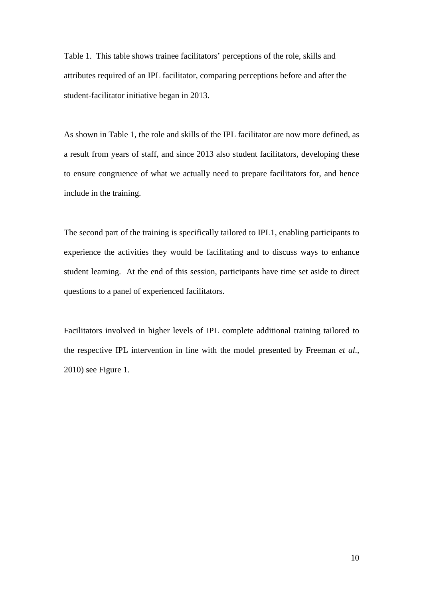Table 1. This table shows trainee facilitators' perceptions of the role, skills and attributes required of an IPL facilitator, comparing perceptions before and after the student-facilitator initiative began in 2013.

As shown in Table 1, the role and skills of the IPL facilitator are now more defined, as a result from years of staff, and since 2013 also student facilitators, developing these to ensure congruence of what we actually need to prepare facilitators for, and hence include in the training.

The second part of the training is specifically tailored to IPL1, enabling participants to experience the activities they would be facilitating and to discuss ways to enhance student learning. At the end of this session, participants have time set aside to direct questions to a panel of experienced facilitators.

Facilitators involved in higher levels of IPL complete additional training tailored to the respective IPL intervention in line with the model presented by Freeman *et al*., 2010) see Figure 1.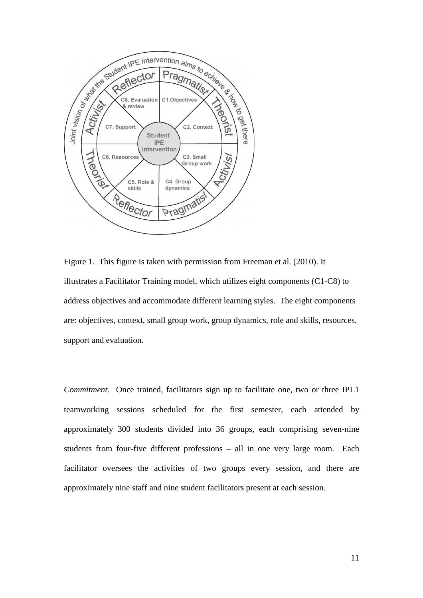

Figure 1. This figure is taken with permission from Freeman et al. (2010). It illustrates a Facilitator Training model, which utilizes eight components (C1-C8) to address objectives and accommodate different learning styles. The eight components are: objectives, context, small group work, group dynamics, role and skills, resources, support and evaluation.

*Commitment.* Once trained, facilitators sign up to facilitate one, two or three IPL1 teamworking sessions scheduled for the first semester, each attended by approximately 300 students divided into 36 groups, each comprising seven-nine students from four-five different professions – all in one very large room. Each facilitator oversees the activities of two groups every session, and there are approximately nine staff and nine student facilitators present at each session.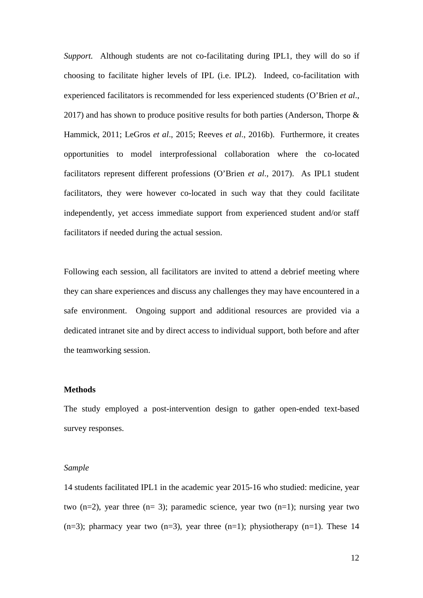*Support.* Although students are not co-facilitating during IPL1, they will do so if choosing to facilitate higher levels of IPL (i.e. IPL2). Indeed, co-facilitation with experienced facilitators is recommended for less experienced students (O'Brien *et al*., 2017) and has shown to produce positive results for both parties (Anderson, Thorpe  $\&$ Hammick, 2011; LeGros *et al*., 2015; Reeves *et al*., 2016b). Furthermore, it creates opportunities to model interprofessional collaboration where the co-located facilitators represent different professions (O'Brien *et al*., 2017). As IPL1 student facilitators, they were however co-located in such way that they could facilitate independently, yet access immediate support from experienced student and/or staff facilitators if needed during the actual session.

Following each session, all facilitators are invited to attend a debrief meeting where they can share experiences and discuss any challenges they may have encountered in a safe environment. Ongoing support and additional resources are provided via a dedicated intranet site and by direct access to individual support, both before and after the teamworking session.

### **Methods**

The study employed a post-intervention design to gather open-ended text-based survey responses.

#### *Sample*

14 students facilitated IPL1 in the academic year 2015-16 who studied: medicine, year two  $(n=2)$ , year three  $(n=3)$ ; paramedic science, year two  $(n=1)$ ; nursing year two  $(n=3)$ ; pharmacy year two  $(n=3)$ , year three  $(n=1)$ ; physiotherapy  $(n=1)$ . These 14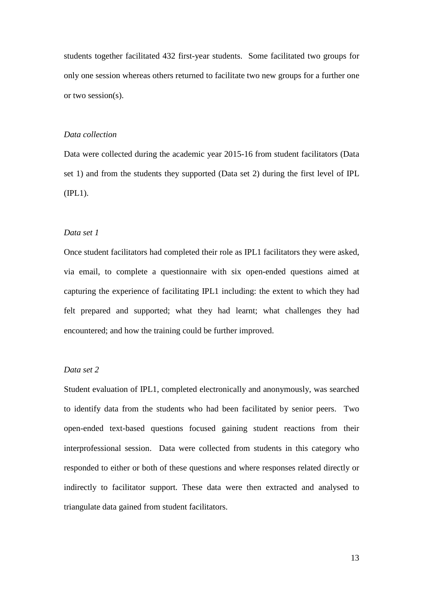students together facilitated 432 first-year students. Some facilitated two groups for only one session whereas others returned to facilitate two new groups for a further one or two session(s).

### *Data collection*

Data were collected during the academic year 2015-16 from student facilitators (Data set 1) and from the students they supported (Data set 2) during the first level of IPL (IPL1).

### *Data set 1*

Once student facilitators had completed their role as IPL1 facilitators they were asked, via email, to complete a questionnaire with six open-ended questions aimed at capturing the experience of facilitating IPL1 including: the extent to which they had felt prepared and supported; what they had learnt; what challenges they had encountered; and how the training could be further improved.

## *Data set 2*

Student evaluation of IPL1, completed electronically and anonymously, was searched to identify data from the students who had been facilitated by senior peers. Two open-ended text-based questions focused gaining student reactions from their interprofessional session. Data were collected from students in this category who responded to either or both of these questions and where responses related directly or indirectly to facilitator support. These data were then extracted and analysed to triangulate data gained from student facilitators.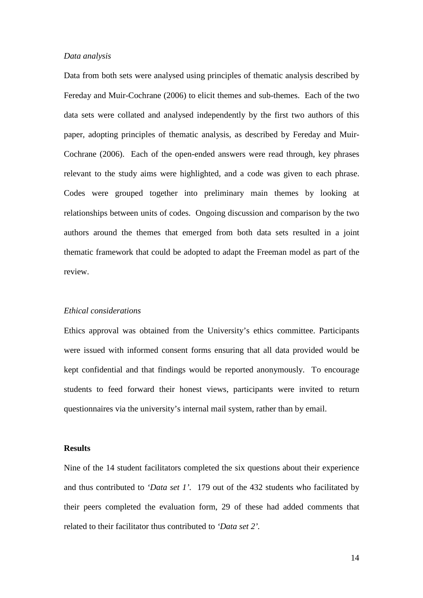### *Data analysis*

Data from both sets were analysed using principles of thematic analysis described by Fereday and Muir-Cochrane (2006) to elicit themes and sub-themes. Each of the two data sets were collated and analysed independently by the first two authors of this paper, adopting principles of thematic analysis, as described by Fereday and Muir-Cochrane (2006). Each of the open-ended answers were read through, key phrases relevant to the study aims were highlighted, and a code was given to each phrase. Codes were grouped together into preliminary main themes by looking at relationships between units of codes. Ongoing discussion and comparison by the two authors around the themes that emerged from both data sets resulted in a joint thematic framework that could be adopted to adapt the Freeman model as part of the review.

### *Ethical considerations*

Ethics approval was obtained from the University's ethics committee. Participants were issued with informed consent forms ensuring that all data provided would be kept confidential and that findings would be reported anonymously. To encourage students to feed forward their honest views, participants were invited to return questionnaires via the university's internal mail system, rather than by email.

## **Results**

Nine of the 14 student facilitators completed the six questions about their experience and thus contributed to *'Data set 1'.* 179 out of the 432 students who facilitated by their peers completed the evaluation form, 29 of these had added comments that related to their facilitator thus contributed to *'Data set 2'.*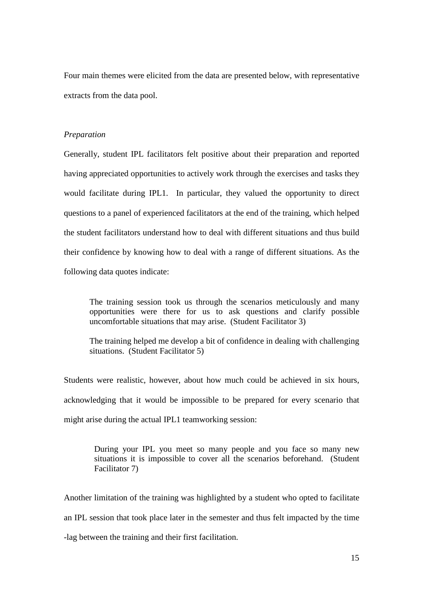Four main themes were elicited from the data are presented below, with representative extracts from the data pool.

### *Preparation*

Generally, student IPL facilitators felt positive about their preparation and reported having appreciated opportunities to actively work through the exercises and tasks they would facilitate during IPL1. In particular, they valued the opportunity to direct questions to a panel of experienced facilitators at the end of the training, which helped the student facilitators understand how to deal with different situations and thus build their confidence by knowing how to deal with a range of different situations. As the following data quotes indicate:

The training session took us through the scenarios meticulously and many opportunities were there for us to ask questions and clarify possible uncomfortable situations that may arise. (Student Facilitator 3)

The training helped me develop a bit of confidence in dealing with challenging situations. (Student Facilitator 5)

Students were realistic, however, about how much could be achieved in six hours, acknowledging that it would be impossible to be prepared for every scenario that might arise during the actual IPL1 teamworking session:

> During your IPL you meet so many people and you face so many new situations it is impossible to cover all the scenarios beforehand. (Student Facilitator 7)

Another limitation of the training was highlighted by a student who opted to facilitate an IPL session that took place later in the semester and thus felt impacted by the time -lag between the training and their first facilitation.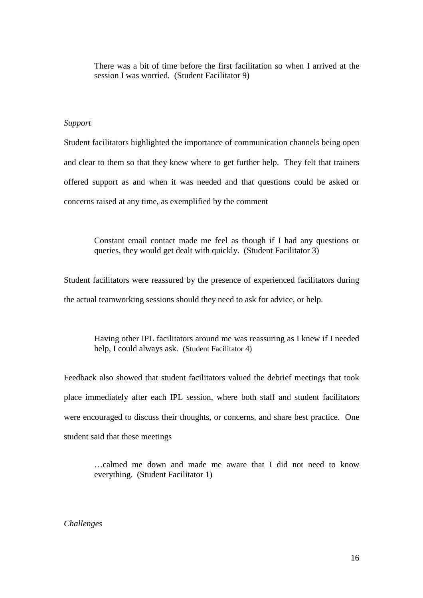There was a bit of time before the first facilitation so when I arrived at the session I was worried. (Student Facilitator 9)

### *Support*

Student facilitators highlighted the importance of communication channels being open and clear to them so that they knew where to get further help. They felt that trainers offered support as and when it was needed and that questions could be asked or concerns raised at any time, as exemplified by the comment

> Constant email contact made me feel as though if I had any questions or queries, they would get dealt with quickly. (Student Facilitator 3)

Student facilitators were reassured by the presence of experienced facilitators during the actual teamworking sessions should they need to ask for advice, or help.

> Having other IPL facilitators around me was reassuring as I knew if I needed help, I could always ask. (Student Facilitator 4)

Feedback also showed that student facilitators valued the debrief meetings that took place immediately after each IPL session, where both staff and student facilitators were encouraged to discuss their thoughts, or concerns, and share best practice. One student said that these meetings

…calmed me down and made me aware that I did not need to know everything. (Student Facilitator 1)

*Challenges*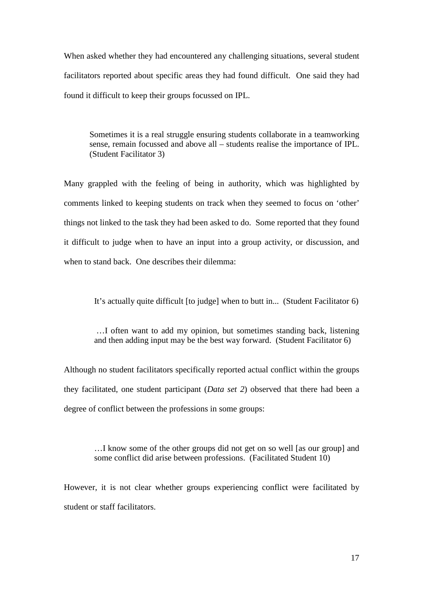When asked whether they had encountered any challenging situations, several student facilitators reported about specific areas they had found difficult. One said they had found it difficult to keep their groups focussed on IPL.

Sometimes it is a real struggle ensuring students collaborate in a teamworking sense, remain focussed and above all – students realise the importance of IPL. (Student Facilitator 3)

Many grappled with the feeling of being in authority, which was highlighted by comments linked to keeping students on track when they seemed to focus on 'other' things not linked to the task they had been asked to do. Some reported that they found it difficult to judge when to have an input into a group activity, or discussion, and when to stand back. One describes their dilemma:

It's actually quite difficult [to judge] when to butt in... (Student Facilitator 6)

 …I often want to add my opinion, but sometimes standing back, listening and then adding input may be the best way forward. (Student Facilitator 6)

Although no student facilitators specifically reported actual conflict within the groups they facilitated, one student participant (*Data set 2*) observed that there had been a degree of conflict between the professions in some groups:

…I know some of the other groups did not get on so well [as our group] and some conflict did arise between professions. (Facilitated Student 10)

However, it is not clear whether groups experiencing conflict were facilitated by student or staff facilitators.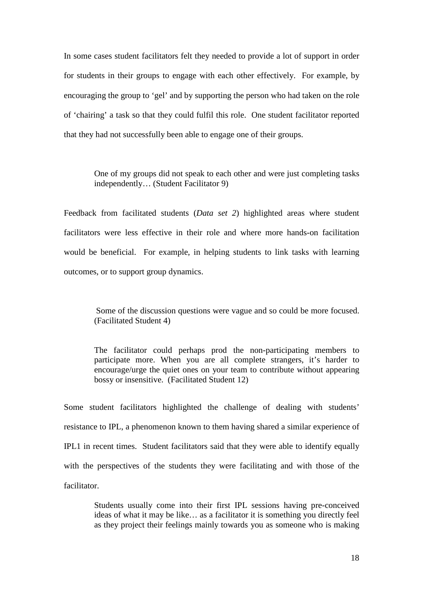In some cases student facilitators felt they needed to provide a lot of support in order for students in their groups to engage with each other effectively. For example, by encouraging the group to 'gel' and by supporting the person who had taken on the role of 'chairing' a task so that they could fulfil this role. One student facilitator reported that they had not successfully been able to engage one of their groups.

> One of my groups did not speak to each other and were just completing tasks independently… (Student Facilitator 9)

Feedback from facilitated students (*Data set 2*) highlighted areas where student facilitators were less effective in their role and where more hands-on facilitation would be beneficial. For example, in helping students to link tasks with learning outcomes, or to support group dynamics.

> Some of the discussion questions were vague and so could be more focused. (Facilitated Student 4)

> The facilitator could perhaps prod the non-participating members to participate more. When you are all complete strangers, it's harder to encourage/urge the quiet ones on your team to contribute without appearing bossy or insensitive. (Facilitated Student 12)

Some student facilitators highlighted the challenge of dealing with students' resistance to IPL, a phenomenon known to them having shared a similar experience of IPL1 in recent times. Student facilitators said that they were able to identify equally with the perspectives of the students they were facilitating and with those of the facilitator.

> Students usually come into their first IPL sessions having pre-conceived ideas of what it may be like… as a facilitator it is something you directly feel as they project their feelings mainly towards you as someone who is making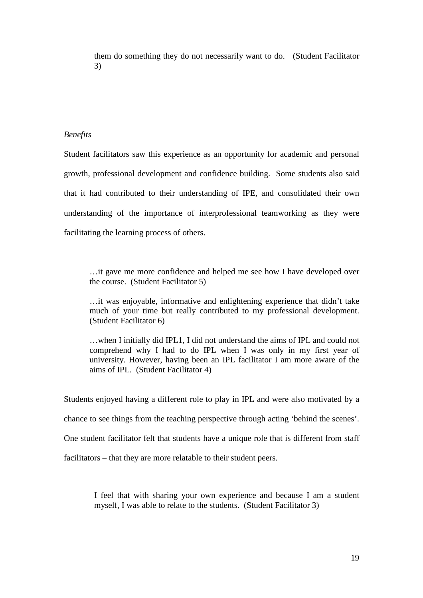them do something they do not necessarily want to do. (Student Facilitator 3)

### *Benefits*

Student facilitators saw this experience as an opportunity for academic and personal growth, professional development and confidence building. Some students also said that it had contributed to their understanding of IPE, and consolidated their own understanding of the importance of interprofessional teamworking as they were facilitating the learning process of others.

…it gave me more confidence and helped me see how I have developed over the course. (Student Facilitator 5)

…it was enjoyable, informative and enlightening experience that didn't take much of your time but really contributed to my professional development. (Student Facilitator 6)

…when I initially did IPL1, I did not understand the aims of IPL and could not comprehend why I had to do IPL when I was only in my first year of university. However, having been an IPL facilitator I am more aware of the aims of IPL. (Student Facilitator 4)

Students enjoyed having a different role to play in IPL and were also motivated by a chance to see things from the teaching perspective through acting 'behind the scenes'. One student facilitator felt that students have a unique role that is different from staff facilitators – that they are more relatable to their student peers.

> I feel that with sharing your own experience and because I am a student myself, I was able to relate to the students. (Student Facilitator 3)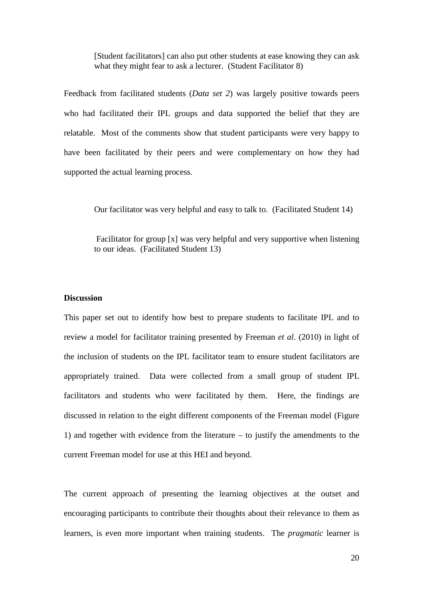[Student facilitators] can also put other students at ease knowing they can ask what they might fear to ask a lecturer. (Student Facilitator 8)

Feedback from facilitated students (*Data set 2*) was largely positive towards peers who had facilitated their IPL groups and data supported the belief that they are relatable. Most of the comments show that student participants were very happy to have been facilitated by their peers and were complementary on how they had supported the actual learning process.

Our facilitator was very helpful and easy to talk to. (Facilitated Student 14)

 Facilitator for group [x] was very helpful and very supportive when listening to our ideas. (Facilitated Student 13)

#### **Discussion**

This paper set out to identify how best to prepare students to facilitate IPL and to review a model for facilitator training presented by Freeman *et al*. (2010) in light of the inclusion of students on the IPL facilitator team to ensure student facilitators are appropriately trained. Data were collected from a small group of student IPL facilitators and students who were facilitated by them. Here, the findings are discussed in relation to the eight different components of the Freeman model (Figure 1) and together with evidence from the literature – to justify the amendments to the current Freeman model for use at this HEI and beyond.

The current approach of presenting the learning objectives at the outset and encouraging participants to contribute their thoughts about their relevance to them as learners, is even more important when training students. The *pragmatic* learner is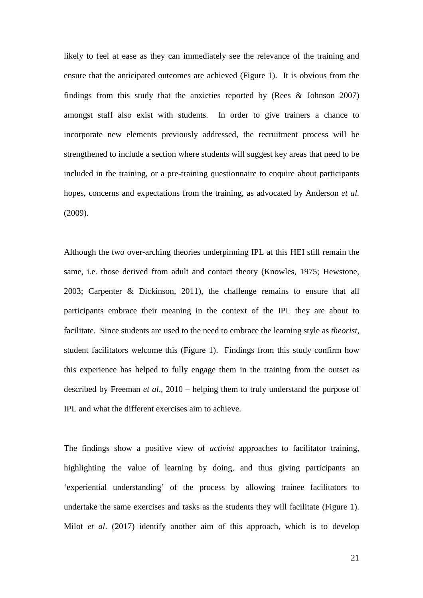likely to feel at ease as they can immediately see the relevance of the training and ensure that the anticipated outcomes are achieved (Figure 1). It is obvious from the findings from this study that the anxieties reported by (Rees & Johnson 2007) amongst staff also exist with students. In order to give trainers a chance to incorporate new elements previously addressed, the recruitment process will be strengthened to include a section where students will suggest key areas that need to be included in the training, or a pre-training questionnaire to enquire about participants hopes, concerns and expectations from the training, as advocated by Anderson *et al.* (2009).

Although the two over-arching theories underpinning IPL at this HEI still remain the same, i.e. those derived from adult and contact theory (Knowles, 1975; Hewstone, 2003; Carpenter & Dickinson, 2011), the challenge remains to ensure that all participants embrace their meaning in the context of the IPL they are about to facilitate. Since students are used to the need to embrace the learning style as *theorist*, student facilitators welcome this (Figure 1). Findings from this study confirm how this experience has helped to fully engage them in the training from the outset as described by Freeman *et al*., 2010 – helping them to truly understand the purpose of IPL and what the different exercises aim to achieve.

The findings show a positive view of *activist* approaches to facilitator training, highlighting the value of learning by doing, and thus giving participants an 'experiential understanding' of the process by allowing trainee facilitators to undertake the same exercises and tasks as the students they will facilitate (Figure 1). Milot *et al*. (2017) identify another aim of this approach, which is to develop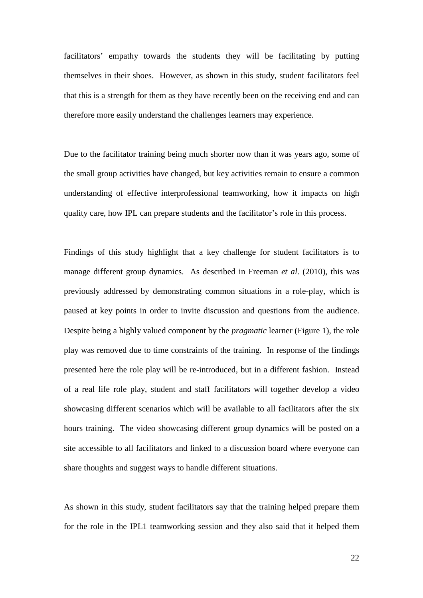facilitators' empathy towards the students they will be facilitating by putting themselves in their shoes. However, as shown in this study, student facilitators feel that this is a strength for them as they have recently been on the receiving end and can therefore more easily understand the challenges learners may experience.

Due to the facilitator training being much shorter now than it was years ago, some of the small group activities have changed, but key activities remain to ensure a common understanding of effective interprofessional teamworking, how it impacts on high quality care, how IPL can prepare students and the facilitator's role in this process.

Findings of this study highlight that a key challenge for student facilitators is to manage different group dynamics. As described in Freeman *et al*. (2010), this was previously addressed by demonstrating common situations in a role-play, which is paused at key points in order to invite discussion and questions from the audience. Despite being a highly valued component by the *pragmatic* learner (Figure 1), the role play was removed due to time constraints of the training. In response of the findings presented here the role play will be re-introduced, but in a different fashion. Instead of a real life role play, student and staff facilitators will together develop a video showcasing different scenarios which will be available to all facilitators after the six hours training. The video showcasing different group dynamics will be posted on a site accessible to all facilitators and linked to a discussion board where everyone can share thoughts and suggest ways to handle different situations.

As shown in this study, student facilitators say that the training helped prepare them for the role in the IPL1 teamworking session and they also said that it helped them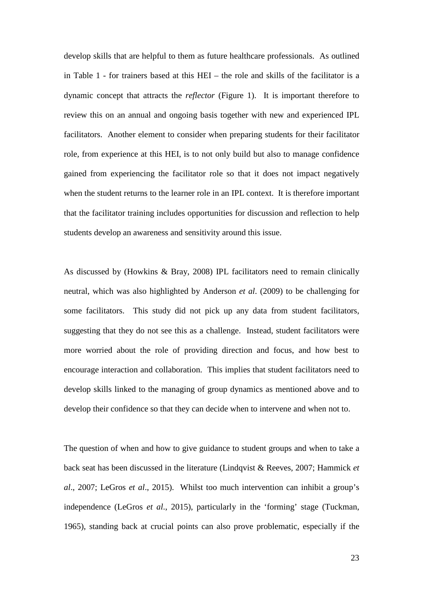develop skills that are helpful to them as future healthcare professionals. As outlined in Table 1 - for trainers based at this HEI – the role and skills of the facilitator is a dynamic concept that attracts the *reflector* (Figure 1).It is important therefore to review this on an annual and ongoing basis together with new and experienced IPL facilitators. Another element to consider when preparing students for their facilitator role, from experience at this HEI, is to not only build but also to manage confidence gained from experiencing the facilitator role so that it does not impact negatively when the student returns to the learner role in an IPL context. It is therefore important that the facilitator training includes opportunities for discussion and reflection to help students develop an awareness and sensitivity around this issue.

As discussed by (Howkins & Bray, 2008) IPL facilitators need to remain clinically neutral, which was also highlighted by Anderson *et al*. (2009) to be challenging for some facilitators. This study did not pick up any data from student facilitators, suggesting that they do not see this as a challenge. Instead, student facilitators were more worried about the role of providing direction and focus, and how best to encourage interaction and collaboration. This implies that student facilitators need to develop skills linked to the managing of group dynamics as mentioned above and to develop their confidence so that they can decide when to intervene and when not to.

The question of when and how to give guidance to student groups and when to take a back seat has been discussed in the literature (Lindqvist & Reeves, 2007; Hammick *et al*., 2007; LeGros *et al*., 2015). Whilst too much intervention can inhibit a group's independence (LeGros *et al*., 2015), particularly in the 'forming' stage (Tuckman, 1965), standing back at crucial points can also prove problematic, especially if the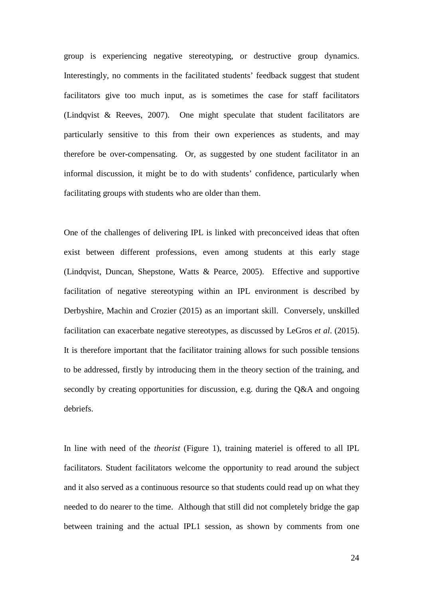group is experiencing negative stereotyping, or destructive group dynamics. Interestingly, no comments in the facilitated students' feedback suggest that student facilitators give too much input, as is sometimes the case for staff facilitators (Lindqvist & Reeves, 2007). One might speculate that student facilitators are particularly sensitive to this from their own experiences as students, and may therefore be over-compensating. Or, as suggested by one student facilitator in an informal discussion, it might be to do with students' confidence, particularly when facilitating groups with students who are older than them.

One of the challenges of delivering IPL is linked with preconceived ideas that often exist between different professions, even among students at this early stage (Lindqvist, Duncan, Shepstone, Watts & Pearce, 2005). Effective and supportive facilitation of negative stereotyping within an IPL environment is described by Derbyshire, Machin and Crozier (2015) as an important skill. Conversely, unskilled facilitation can exacerbate negative stereotypes, as discussed by LeGros *et al*. (2015). It is therefore important that the facilitator training allows for such possible tensions to be addressed, firstly by introducing them in the theory section of the training, and secondly by creating opportunities for discussion, e.g. during the Q&A and ongoing debriefs.

In line with need of the *theorist* (Figure 1), training materiel is offered to all IPL facilitators. Student facilitators welcome the opportunity to read around the subject and it also served as a continuous resource so that students could read up on what they needed to do nearer to the time. Although that still did not completely bridge the gap between training and the actual IPL1 session, as shown by comments from one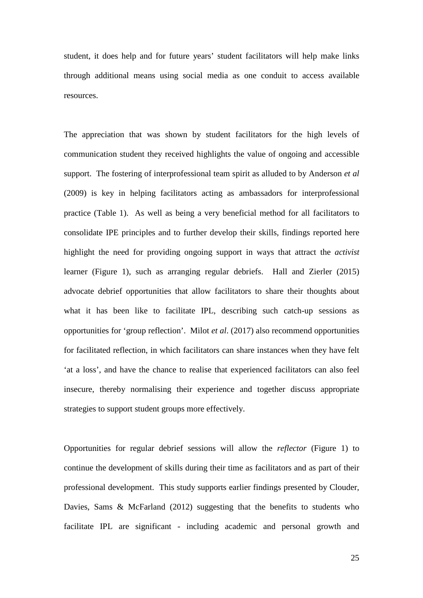student, it does help and for future years' student facilitators will help make links through additional means using social media as one conduit to access available resources.

The appreciation that was shown by student facilitators for the high levels of communication student they received highlights the value of ongoing and accessible support. The fostering of interprofessional team spirit as alluded to by Anderson *et al*  (2009) is key in helping facilitators acting as ambassadors for interprofessional practice (Table 1). As well as being a very beneficial method for all facilitators to consolidate IPE principles and to further develop their skills, findings reported here highlight the need for providing ongoing support in ways that attract the *activist* learner (Figure 1), such as arranging regular debriefs. Hall and Zierler (2015) advocate debrief opportunities that allow facilitators to share their thoughts about what it has been like to facilitate IPL, describing such catch-up sessions as opportunities for 'group reflection'. Milot *et al*. (2017) also recommend opportunities for facilitated reflection, in which facilitators can share instances when they have felt 'at a loss', and have the chance to realise that experienced facilitators can also feel insecure, thereby normalising their experience and together discuss appropriate strategies to support student groups more effectively.

Opportunities for regular debrief sessions will allow the *reflector* (Figure 1) to continue the development of skills during their time as facilitators and as part of their professional development. This study supports earlier findings presented by Clouder, Davies, Sams & McFarland (2012) suggesting that the benefits to students who facilitate IPL are significant - including academic and personal growth and

25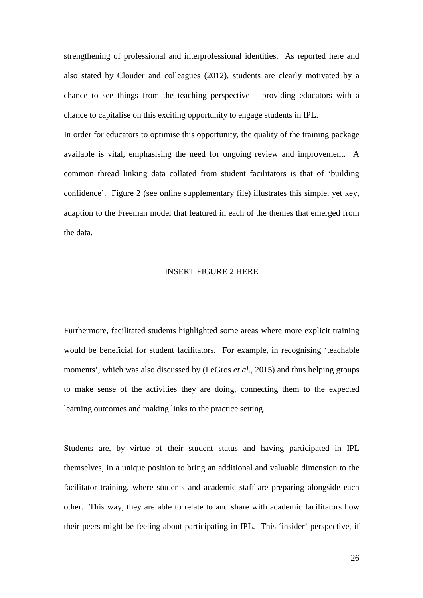strengthening of professional and interprofessional identities. As reported here and also stated by Clouder and colleagues (2012), students are clearly motivated by a chance to see things from the teaching perspective – providing educators with a chance to capitalise on this exciting opportunity to engage students in IPL.

In order for educators to optimise this opportunity, the quality of the training package available is vital, emphasising the need for ongoing review and improvement. A common thread linking data collated from student facilitators is that of 'building confidence'. Figure 2 (see online supplementary file) illustrates this simple, yet key, adaption to the Freeman model that featured in each of the themes that emerged from the data.

#### INSERT FIGURE 2 HERE

Furthermore, facilitated students highlighted some areas where more explicit training would be beneficial for student facilitators. For example, in recognising 'teachable moments', which was also discussed by (LeGros *et al*., 2015) and thus helping groups to make sense of the activities they are doing, connecting them to the expected learning outcomes and making links to the practice setting.

Students are, by virtue of their student status and having participated in IPL themselves, in a unique position to bring an additional and valuable dimension to the facilitator training, where students and academic staff are preparing alongside each other. This way, they are able to relate to and share with academic facilitators how their peers might be feeling about participating in IPL. This 'insider' perspective, if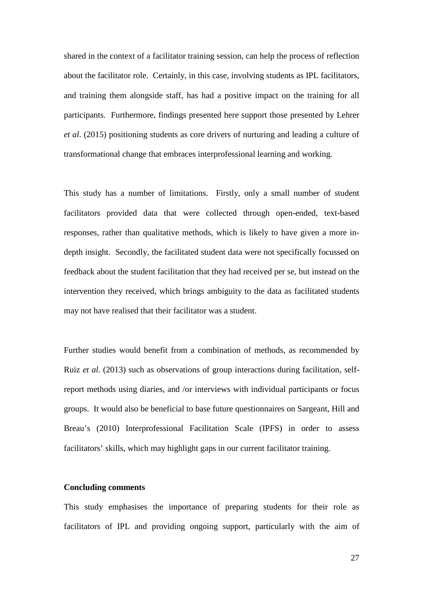shared in the context of a facilitator training session, can help the process of reflection about the facilitator role. Certainly, in this case, involving students as IPL facilitators, and training them alongside staff, has had a positive impact on the training for all participants. Furthermore, findings presented here support those presented by Lehrer *et al*. (2015) positioning students as core drivers of nurturing and leading a culture of transformational change that embraces interprofessional learning and working.

This study has a number of limitations. Firstly, only a small number of student facilitators provided data that were collected through open-ended, text-based responses, rather than qualitative methods, which is likely to have given a more indepth insight. Secondly, the facilitated student data were not specifically focussed on feedback about the student facilitation that they had received per se, but instead on the intervention they received, which brings ambiguity to the data as facilitated students may not have realised that their facilitator was a student.

Further studies would benefit from a combination of methods, as recommended by Ruiz *et al*. (2013) such as observations of group interactions during facilitation, selfreport methods using diaries, and /or interviews with individual participants or focus groups. It would also be beneficial to base future questionnaires on Sargeant, Hill and Breau's (2010) Interprofessional Facilitation Scale (IPFS) in order to assess facilitators' skills, which may highlight gaps in our current facilitator training.

### **Concluding comments**

This study emphasises the importance of preparing students for their role as facilitators of IPL and providing ongoing support, particularly with the aim of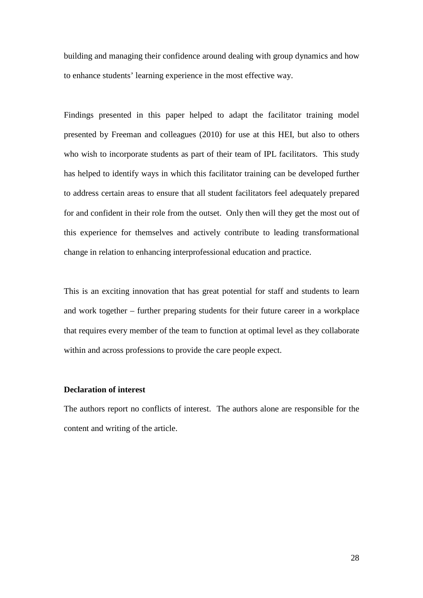building and managing their confidence around dealing with group dynamics and how to enhance students' learning experience in the most effective way.

Findings presented in this paper helped to adapt the facilitator training model presented by Freeman and colleagues (2010) for use at this HEI, but also to others who wish to incorporate students as part of their team of IPL facilitators. This study has helped to identify ways in which this facilitator training can be developed further to address certain areas to ensure that all student facilitators feel adequately prepared for and confident in their role from the outset. Only then will they get the most out of this experience for themselves and actively contribute to leading transformational change in relation to enhancing interprofessional education and practice.

This is an exciting innovation that has great potential for staff and students to learn and work together – further preparing students for their future career in a workplace that requires every member of the team to function at optimal level as they collaborate within and across professions to provide the care people expect.

## **Declaration of interest**

The authors report no conflicts of interest. The authors alone are responsible for the content and writing of the article.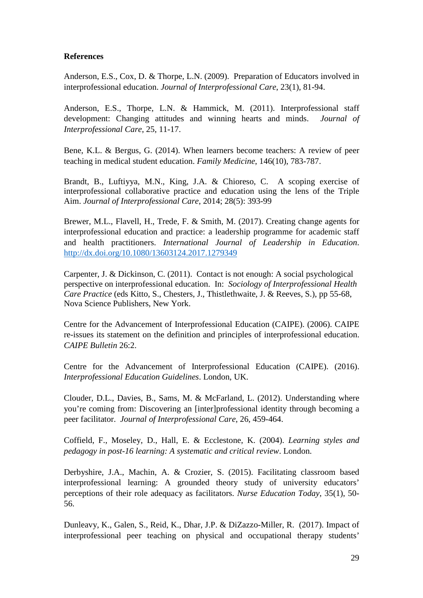# **References**

Anderson, E.S., Cox, D. & Thorpe, L.N. (2009). Preparation of Educators involved in interprofessional education. *Journal of Interprofessional Care*, 23(1), 81-94.

Anderson, E.S., Thorpe, L.N. & Hammick, M. (2011). Interprofessional staff development: Changing attitudes and winning hearts and minds. *Journal of Interprofessional Care*, 25, 11-17.

Bene, K.L. & Bergus, G. (2014). When learners become teachers: A review of peer teaching in medical student education. *Family Medicine*, 146(10), 783-787.

Brandt, B., Luftiyya, M.N., King, J.A. & Chioreso, C. A scoping exercise of interprofessional collaborative practice and education using the lens of the Triple Aim. *Journal of Interprofessional Care*, 2014; 28(5): 393-99

Brewer, M.L., Flavell, H., Trede, F. & Smith, M. (2017). Creating change agents for interprofessional education and practice: a leadership programme for academic staff and health practitioners. *International Journal of Leadership in Education*. http://dx.doi.org/10.1080/13603124.2017.1279349

Carpenter, J. & Dickinson, C. (2011). Contact is not enough: A social psychological perspective on interprofessional education. In: *Sociology of Interprofessional Health Care Practice* (eds Kitto, S., Chesters, J., Thistlethwaite, J. & Reeves, S.), pp 55-68, Nova Science Publishers, New York.

Centre for the Advancement of Interprofessional Education (CAIPE). (2006). CAIPE re-issues its statement on the definition and principles of interprofessional education. *CAIPE Bulletin* 26:2.

Centre for the Advancement of Interprofessional Education (CAIPE). (2016). *Interprofessional Education Guidelines*. London, UK.

Clouder, D.L., Davies, B., Sams, M. & McFarland, L. (2012). Understanding where you're coming from: Discovering an [inter]professional identity through becoming a peer facilitator. *Journal of Interprofessional Care*, 26, 459-464.

Coffield, F., Moseley, D., Hall, E. & Ecclestone, K. (2004). *Learning styles and pedagogy in post-16 learning: A systematic and critical review*. London.

Derbyshire, J.A., Machin, A. & Crozier, S. (2015). Facilitating classroom based interprofessional learning: A grounded theory study of university educators' perceptions of their role adequacy as facilitators. *Nurse Education Today*, 35(1), 50- 56.

Dunleavy, K., Galen, S., Reid, K., Dhar, J.P. & DiZazzo-Miller, R. (2017). Impact of interprofessional peer teaching on physical and occupational therapy students'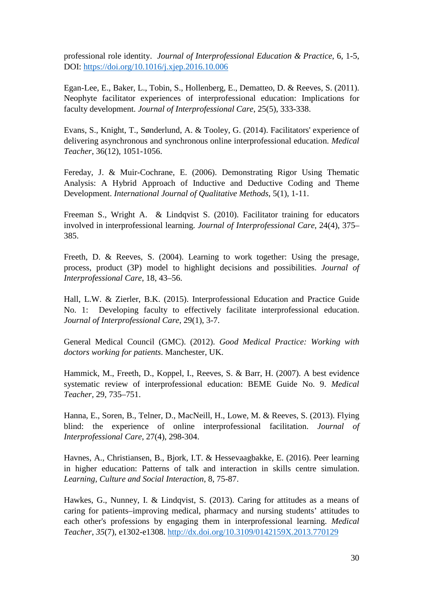professional role identity. *Journal of Interprofessional Education & Practice*, 6, 1-5, DOI: https://doi.org/10.1016/j.xjep.2016.10.006

Egan-Lee, E., Baker, L., Tobin, S., Hollenberg, E., Dematteo, D. & Reeves, S. (2011). Neophyte facilitator experiences of interprofessional education: Implications for faculty development. *Journal of Interprofessional Care*, 25(5), 333-338.

Evans, S., Knight, T., Sønderlund, A. & Tooley, G. (2014). Facilitators' experience of delivering asynchronous and synchronous online interprofessional education. *Medical Teacher*, 36(12), 1051-1056.

Fereday, J. & Muir-Cochrane, E. (2006). Demonstrating Rigor Using Thematic Analysis: A Hybrid Approach of Inductive and Deductive Coding and Theme Development. *International Journal of Qualitative Methods*, 5(1), 1-11.

Freeman S., Wright A. & Lindqvist S. (2010). Facilitator training for educators involved in interprofessional learning. *Journal of Interprofessional Care*, 24(4), 375– 385.

Freeth, D. & Reeves, S. (2004). Learning to work together: Using the presage, process, product (3P) model to highlight decisions and possibilities. *Journal of Interprofessional Care*, 18, 43–56.

Hall, L.W. & Zierler, B.K. (2015). Interprofessional Education and Practice Guide No. 1: Developing faculty to effectively facilitate interprofessional education. *Journal of Interprofessional Care*, 29(1), 3-7.

General Medical Council (GMC). (2012). *Good Medical Practice: Working with doctors working for patients*. Manchester, UK.

Hammick, M., Freeth, D., Koppel, I., Reeves, S. & Barr, H. (2007). A best evidence systematic review of interprofessional education: BEME Guide No. 9. *Medical Teacher,* 29, 735–751.

Hanna, E., Soren, B., Telner, D., MacNeill, H., Lowe, M. & Reeves, S. (2013). Flying blind: the experience of online interprofessional facilitation. *Journal of Interprofessional Care*, 27(4), 298-304.

Havnes, A., Christiansen, B., Bjork, I.T. & Hessevaagbakke, E. (2016). Peer learning in higher education: Patterns of talk and interaction in skills centre simulation. *Learning, Culture and Social Interaction*, 8, 75-87.

Hawkes, G., Nunney, I. & Lindqvist, S. (2013). Caring for attitudes as a means of caring for patients–improving medical, pharmacy and nursing students' attitudes to each other's professions by engaging them in interprofessional learning. *Medical Teacher*, *35*(7), e1302-e1308. http://dx.doi.org/10.3109/0142159X.2013.770129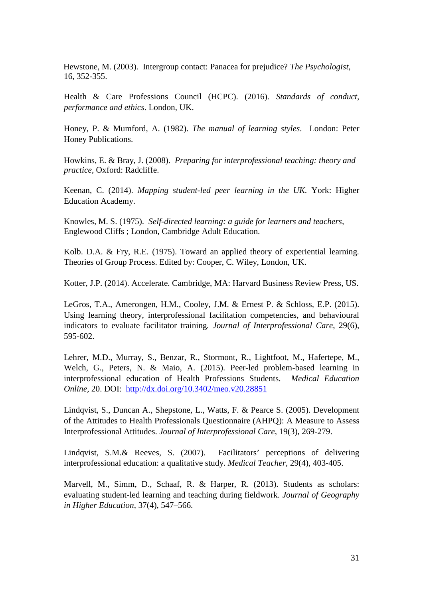Hewstone, M. (2003). Intergroup contact: Panacea for prejudice? *The Psychologist,*  16, 352-355.

Health & Care Professions Council (HCPC). (2016). *Standards of conduct, performance and ethics*. London, UK.

Honey, P. & Mumford, A. (1982). *The manual of learning styles*. London: Peter Honey Publications.

Howkins, E. & Bray, J. (2008). *Preparing for interprofessional teaching: theory and practice,* Oxford: Radcliffe.

Keenan, C. (2014). *Mapping student-led peer learning in the UK.* York: Higher Education Academy.

Knowles, M. S. (1975). *Self-directed learning: a guide for learners and teachers,*  Englewood Cliffs ; London, Cambridge Adult Education.

Kolb. D.A. & Fry, R.E. (1975). Toward an applied theory of experiential learning*.* Theories of Group Process. Edited by: Cooper, C. Wiley, London, UK.

Kotter, J.P. (2014). Accelerate. Cambridge, MA: Harvard Business Review Press, US.

LeGros, T.A., Amerongen, H.M., Cooley, J.M. & Ernest P. & Schloss, E.P. (2015). Using learning theory, interprofessional facilitation competencies, and behavioural indicators to evaluate facilitator training*. Journal of Interprofessional Care*, 29(6), 595-602.

Lehrer, M.D., Murray, S., Benzar, R., Stormont, R., Lightfoot, M., Hafertepe, M., Welch, G., Peters, N. & Maio, A. (2015). Peer-led problem-based learning in interprofessional education of Health Professions Students. *Medical Education Online*, 20. DOI: http://dx.doi.org/10.3402/meo.v20.28851

Lindqvist, S., Duncan A., Shepstone, L., Watts, F. & Pearce S. (2005). Development of the Attitudes to Health Professionals Questionnaire (AHPQ): A Measure to Assess Interprofessional Attitudes. *Journal of Interprofessional Care*, 19(3), 269-279.

Lindqvist, S.M.& Reeves, S. (2007). Facilitators' perceptions of delivering interprofessional education: a qualitative study. *Medical Teacher*, 29(4), 403-405.

Marvell, M., Simm, D., Schaaf, R. & Harper, R. (2013). Students as scholars: evaluating student-led learning and teaching during fieldwork. *Journal of Geography in Higher Education*, 37(4), 547–566.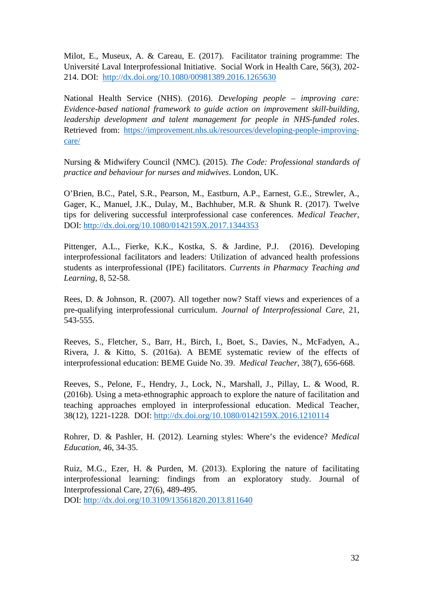Milot, E., Museux, A. & Careau, E. (2017). Facilitator training programme: The Université Laval Interprofessional Initiative. Social Work in Health Care, 56(3), 202- 214. DOI: http://dx.doi.org/10.1080/00981389.2016.1265630

National Health Service (NHS). (2016). *Developing people – improving care: Evidence-based national framework to guide action on improvement skill-building, leadership development and talent management for people in NHS-funded roles*. Retrieved from: https://improvement.nhs.uk/resources/developing-people-improvingcare/

Nursing & Midwifery Council (NMC). (2015). *The Code: Professional standards of practice and behaviour for nurses and midwives*. London, UK.

O'Brien, B.C., Patel, S.R., Pearson, M., Eastburn, A.P., Earnest, G.E., Strewler, A., Gager, K., Manuel, J.K., Dulay, M., Bachhuber, M.R. & Shunk R. (2017). Twelve tips for delivering successful interprofessional case conferences. *Medical Teacher*, DOI: http://dx.doi.org/10.1080/0142159X.2017.1344353

Pittenger, A.L., Fierke, K.K., Kostka, S. & Jardine, P.J. (2016). Developing interprofessional facilitators and leaders: Utilization of advanced health professions students as interprofessional (IPE) facilitators. *Currents in Pharmacy Teaching and Learning*, 8, 52-58.

Rees, D. & Johnson, R. (2007). All together now? Staff views and experiences of a pre-qualifying interprofessional curriculum. *Journal of Interprofessional Care*, 21, 543-555.

Reeves, S., Fletcher, S., Barr, H., Birch, I., Boet, S., Davies, N., McFadyen, A., Rivera, J. & Kitto, S. (2016a). A BEME systematic review of the effects of interprofessional education: BEME Guide No. 39. *Medical Teacher*, 38(7), 656-668.

Reeves, S., Pelone, F., Hendry, J., Lock, N., Marshall, J., Pillay, L. & Wood, R. (2016b). Using a meta-ethnographic approach to explore the nature of facilitation and teaching approaches employed in interprofessional education. Medical Teacher, 38(12), 1221-1228. DOI: http://dx.doi.org/10.1080/0142159X.2016.1210114

Rohrer, D. & Pashler, H. (2012). Learning styles: Where's the evidence? *Medical Education*, 46, 34-35.

Ruiz, M.G., Ezer, H. & Purden, M. (2013). Exploring the nature of facilitating interprofessional learning: findings from an exploratory study. Journal of Interprofessional Care, 27(6), 489-495.

DOI: http://dx.doi.org/10.3109/13561820.2013.811640